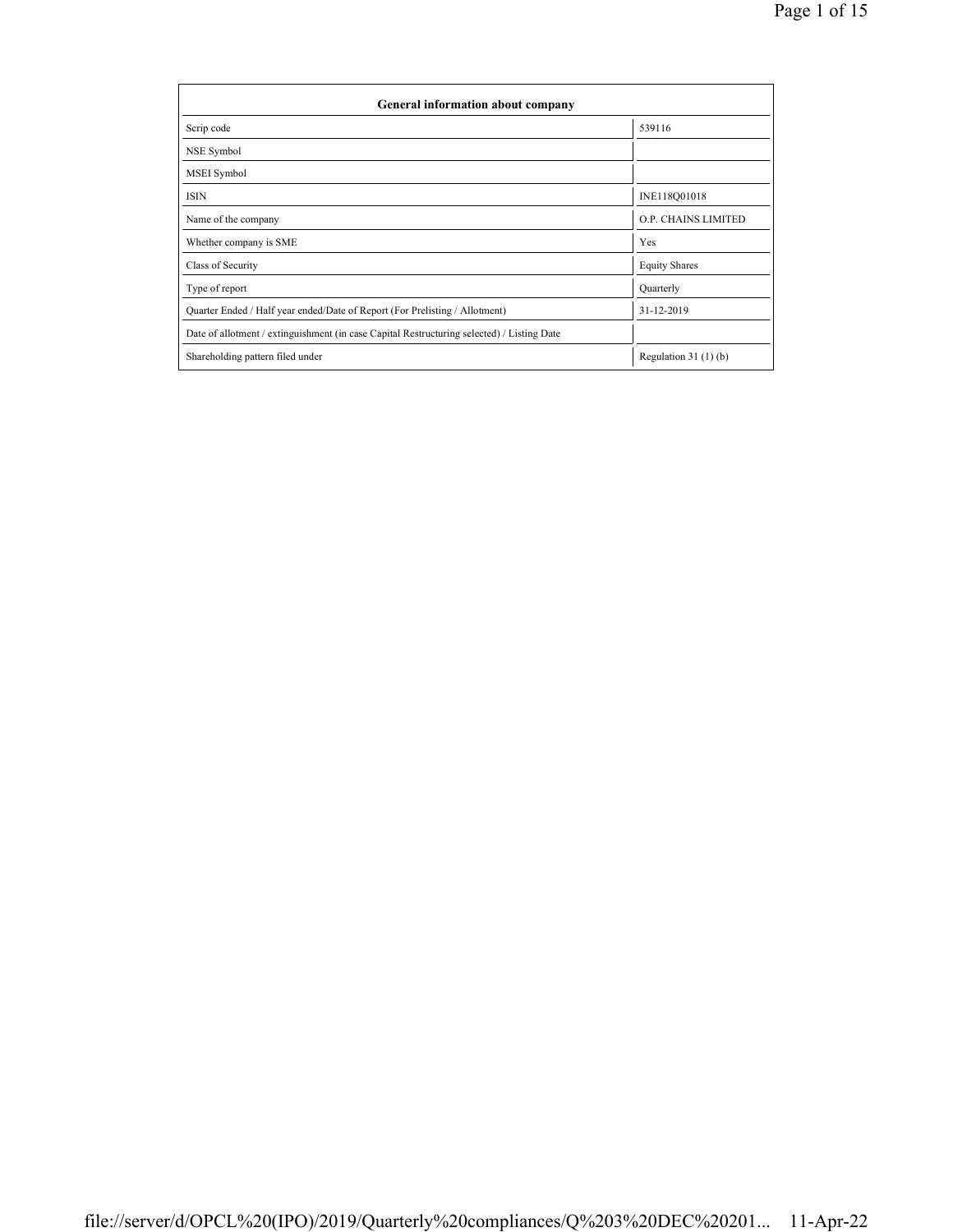| General information about company                                                          |                       |  |  |  |  |  |
|--------------------------------------------------------------------------------------------|-----------------------|--|--|--|--|--|
| Scrip code                                                                                 | 539116                |  |  |  |  |  |
| NSE Symbol                                                                                 |                       |  |  |  |  |  |
| MSEI Symbol                                                                                |                       |  |  |  |  |  |
| <b>ISIN</b>                                                                                | INE118Q01018          |  |  |  |  |  |
| Name of the company                                                                        | O.P. CHAINS LIMITED   |  |  |  |  |  |
| Whether company is SME                                                                     | Yes                   |  |  |  |  |  |
| Class of Security                                                                          | <b>Equity Shares</b>  |  |  |  |  |  |
| Type of report                                                                             | Quarterly             |  |  |  |  |  |
| Quarter Ended / Half year ended/Date of Report (For Prelisting / Allotment)                | 31-12-2019            |  |  |  |  |  |
| Date of allotment / extinguishment (in case Capital Restructuring selected) / Listing Date |                       |  |  |  |  |  |
| Shareholding pattern filed under                                                           | Regulation $31(1)(b)$ |  |  |  |  |  |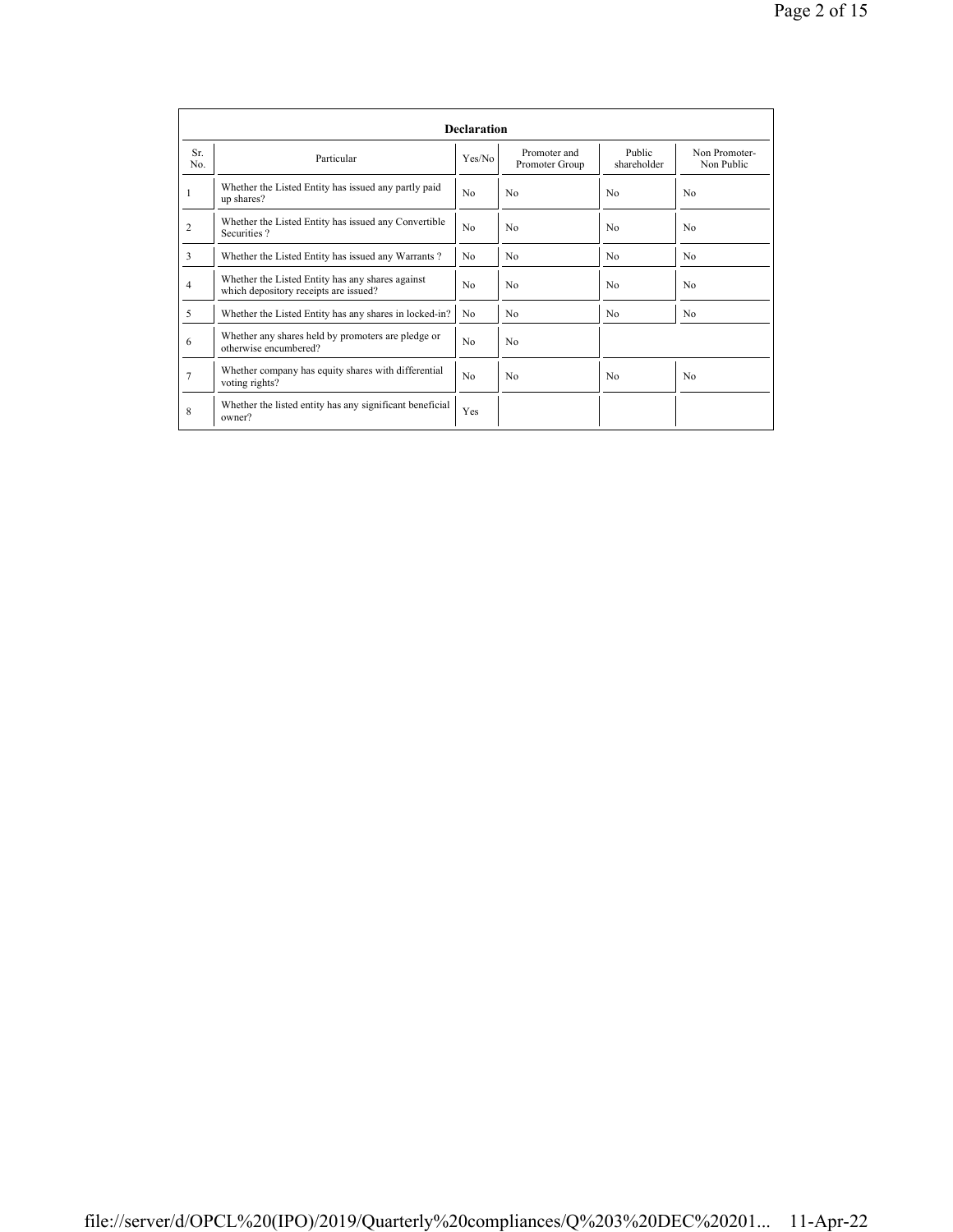|                                                                                       | <b>Declaration</b>                                                                        |                |                                |                       |                             |  |  |  |  |  |
|---------------------------------------------------------------------------------------|-------------------------------------------------------------------------------------------|----------------|--------------------------------|-----------------------|-----------------------------|--|--|--|--|--|
| Sr.<br>No.                                                                            | Particular                                                                                | Yes/No         | Promoter and<br>Promoter Group | Public<br>shareholder | Non Promoter-<br>Non Public |  |  |  |  |  |
| Whether the Listed Entity has issued any partly paid<br>up shares?                    |                                                                                           | N <sub>0</sub> | N <sub>0</sub>                 | N <sub>0</sub>        | No                          |  |  |  |  |  |
| Whether the Listed Entity has issued any Convertible<br>$\overline{c}$<br>Securities? |                                                                                           |                | N <sub>0</sub>                 | N <sub>0</sub>        | N <sub>0</sub>              |  |  |  |  |  |
| 3                                                                                     | Whether the Listed Entity has issued any Warrants?                                        | N <sub>0</sub> | N <sub>0</sub>                 | N <sub>0</sub>        | N <sub>0</sub>              |  |  |  |  |  |
| $\overline{4}$                                                                        | Whether the Listed Entity has any shares against<br>which depository receipts are issued? |                | N <sub>0</sub>                 | No                    | No                          |  |  |  |  |  |
| 5                                                                                     | Whether the Listed Entity has any shares in locked-in?                                    | N <sub>0</sub> | N <sub>0</sub>                 | N <sub>0</sub>        | No                          |  |  |  |  |  |
| 6                                                                                     | Whether any shares held by promoters are pledge or<br>otherwise encumbered?               | N <sub>0</sub> | N <sub>0</sub>                 |                       |                             |  |  |  |  |  |
| 7                                                                                     | Whether company has equity shares with differential<br>voting rights?                     | N <sub>0</sub> | N <sub>0</sub>                 | N <sub>0</sub>        | No                          |  |  |  |  |  |
| 8                                                                                     | Whether the listed entity has any significant beneficial<br>owner?                        | Yes            |                                |                       |                             |  |  |  |  |  |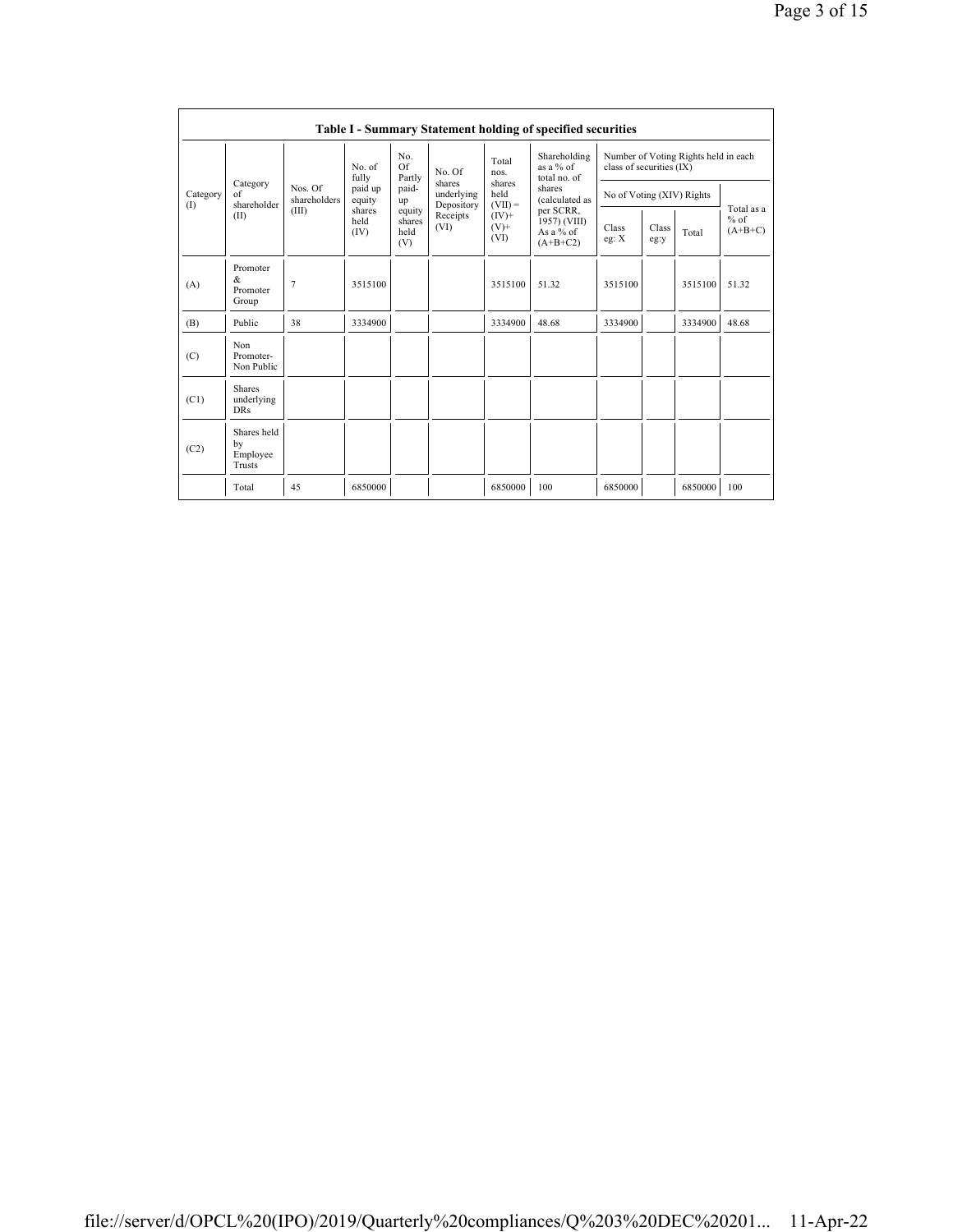|                 | <b>Table I - Summary Statement holding of specified securities</b> |                         |                                      |                                 |                                              |                             |                                                                                                                                 |                                                                  |               |         |                                   |
|-----------------|--------------------------------------------------------------------|-------------------------|--------------------------------------|---------------------------------|----------------------------------------------|-----------------------------|---------------------------------------------------------------------------------------------------------------------------------|------------------------------------------------------------------|---------------|---------|-----------------------------------|
|                 |                                                                    |                         | No. of<br>fully<br>paid up<br>equity | No.<br>Of<br>Partly             | No. Of<br>shares<br>underlying<br>Depository | Total<br>nos.               | Shareholding<br>as a % of<br>total no. of<br>shares<br>(calculated as<br>per SCRR,<br>1957) (VIII)<br>As a $%$ of<br>$(A+B+C2)$ | Number of Voting Rights held in each<br>class of securities (IX) |               |         |                                   |
| Category<br>(1) | Category<br>$\alpha$ f<br>shareholder                              | Nos. Of<br>shareholders |                                      | paid-<br>up                     |                                              | shares<br>held<br>$(VII) =$ |                                                                                                                                 | No of Voting (XIV) Rights                                        |               |         |                                   |
|                 | (II)                                                               | (III)                   | shares<br>held<br>(IV)               | equity<br>shares<br>held<br>(V) | Receipts<br>(VI)                             | $(IV)$ +<br>$(V)$ +<br>(VI) |                                                                                                                                 | Class<br>eg: $X$                                                 | Class<br>eg:y | Total   | Total as a<br>$%$ of<br>$(A+B+C)$ |
| (A)             | Promoter<br>$\&$<br>Promoter<br>Group                              | $\overline{7}$          | 3515100                              |                                 |                                              | 3515100                     | 51.32                                                                                                                           | 3515100                                                          |               | 3515100 | 51.32                             |
| (B)             | Public                                                             | 38                      | 3334900                              |                                 |                                              | 3334900                     | 48.68                                                                                                                           | 3334900                                                          |               | 3334900 | 48.68                             |
| (C)             | Non<br>Promoter-<br>Non Public                                     |                         |                                      |                                 |                                              |                             |                                                                                                                                 |                                                                  |               |         |                                   |
| (C1)            | Shares<br>underlying<br><b>DRs</b>                                 |                         |                                      |                                 |                                              |                             |                                                                                                                                 |                                                                  |               |         |                                   |
| (C2)            | Shares held<br>by<br>Employee<br>Trusts                            |                         |                                      |                                 |                                              |                             |                                                                                                                                 |                                                                  |               |         |                                   |
|                 | Total                                                              | 45                      | 6850000                              |                                 |                                              | 6850000                     | 100                                                                                                                             | 6850000                                                          |               | 6850000 | 100                               |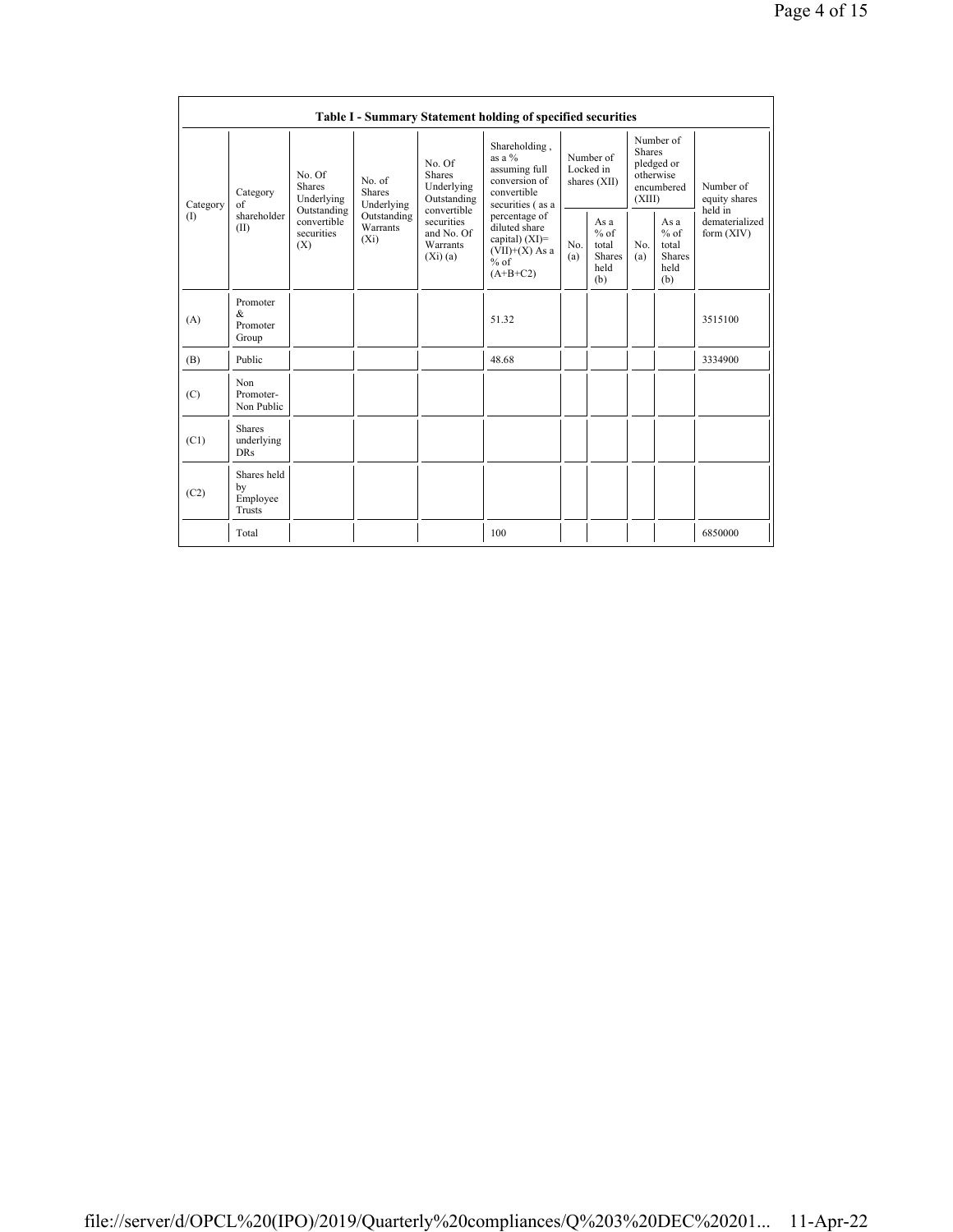|                 | Table I - Summary Statement holding of specified securities |                                                 |                                    |                                                                   |                                                                                                 |                                        |                                                         |                                                                               |                                                         |                                       |
|-----------------|-------------------------------------------------------------|-------------------------------------------------|------------------------------------|-------------------------------------------------------------------|-------------------------------------------------------------------------------------------------|----------------------------------------|---------------------------------------------------------|-------------------------------------------------------------------------------|---------------------------------------------------------|---------------------------------------|
| Category<br>(1) | Category<br>of<br>shareholder<br>(II)                       | No. Of<br><b>Shares</b><br>Underlying           |                                    | No. Of<br><b>Shares</b><br>Underlying<br>Outstanding              | Shareholding,<br>as a $%$<br>assuming full<br>conversion of<br>convertible<br>securities (as a  | Number of<br>Locked in<br>shares (XII) |                                                         | Number of<br><b>Shares</b><br>pledged or<br>otherwise<br>encumbered<br>(XIII) |                                                         | Number of<br>equity shares<br>held in |
|                 |                                                             | Outstanding<br>convertible<br>securities<br>(X) | Outstanding<br>Warrants<br>$(X_i)$ | convertible<br>securities<br>and No. Of<br>Warrants<br>$(Xi)$ (a) | percentage of<br>diluted share<br>capital) $(XI)$ =<br>$(VII)+(X)$ As a<br>$%$ of<br>$(A+B+C2)$ | No.<br>(a)                             | As a<br>$%$ of<br>total<br><b>Shares</b><br>held<br>(b) | N <sub>0</sub><br>(a)                                                         | As a<br>$%$ of<br>total<br><b>Shares</b><br>held<br>(b) | dematerialized<br>form (XIV)          |
| (A)             | Promoter<br>&<br>Promoter<br>Group                          |                                                 |                                    |                                                                   | 51.32                                                                                           |                                        |                                                         |                                                                               |                                                         | 3515100                               |
| (B)             | Public                                                      |                                                 |                                    |                                                                   | 48.68                                                                                           |                                        |                                                         |                                                                               |                                                         | 3334900                               |
| (C)             | Non<br>Promoter-<br>Non Public                              |                                                 |                                    |                                                                   |                                                                                                 |                                        |                                                         |                                                                               |                                                         |                                       |
| (C1)            | <b>Shares</b><br>underlying<br><b>DRs</b>                   |                                                 |                                    |                                                                   |                                                                                                 |                                        |                                                         |                                                                               |                                                         |                                       |
| (C2)            | Shares held<br>by<br>Employee<br>Trusts                     |                                                 |                                    |                                                                   |                                                                                                 |                                        |                                                         |                                                                               |                                                         |                                       |
|                 | Total                                                       |                                                 |                                    |                                                                   | 100                                                                                             |                                        |                                                         |                                                                               |                                                         | 6850000                               |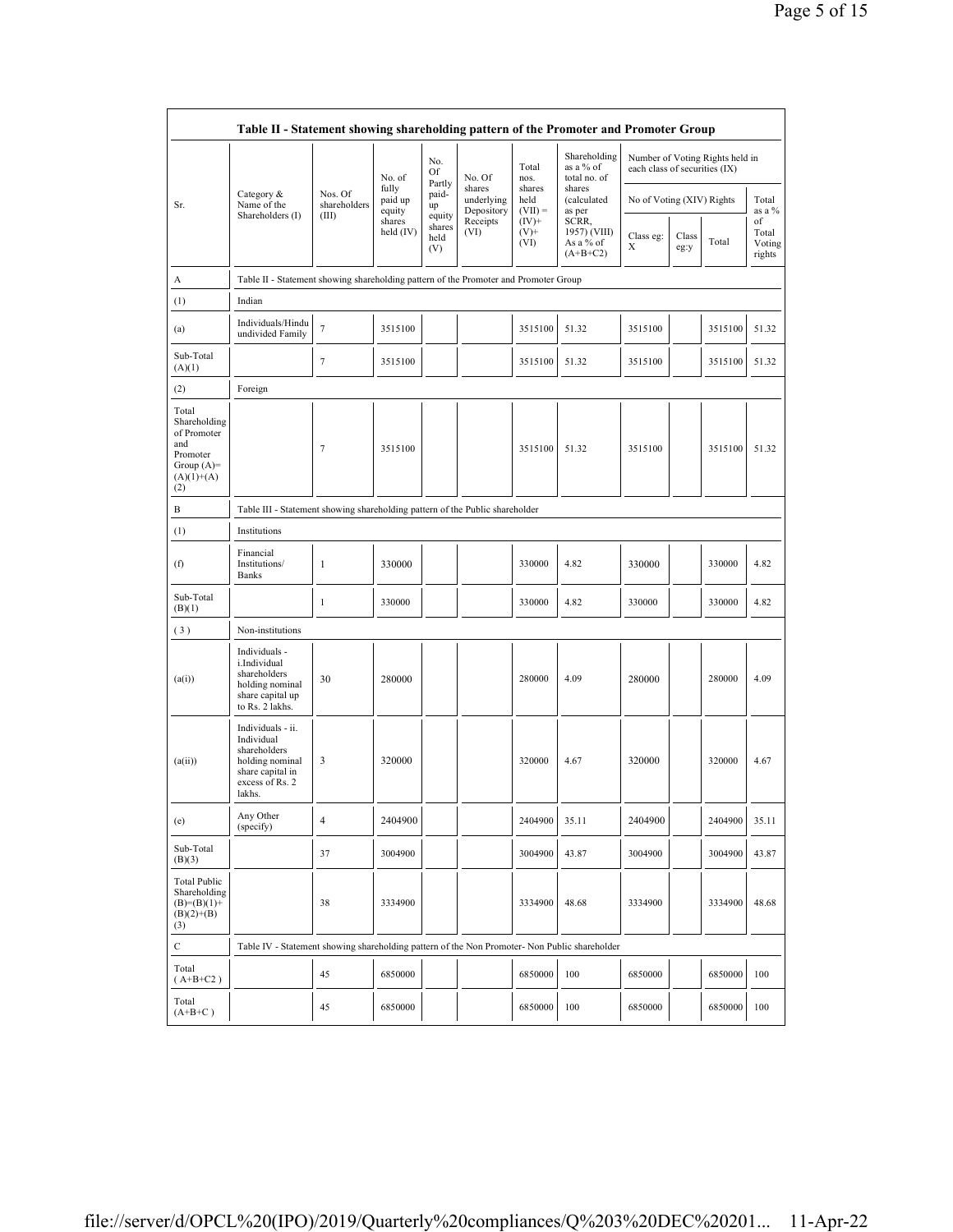|                                                                                                | Table II - Statement showing shareholding pattern of the Promoter and Promoter Group                                |                                 |                            |                                 |                                    |                             |                                                  |                           |                                                                  |         |                                 |
|------------------------------------------------------------------------------------------------|---------------------------------------------------------------------------------------------------------------------|---------------------------------|----------------------------|---------------------------------|------------------------------------|-----------------------------|--------------------------------------------------|---------------------------|------------------------------------------------------------------|---------|---------------------------------|
|                                                                                                |                                                                                                                     |                                 | No. of                     | No.<br>Of                       | No. Of                             | Total<br>nos.               | Shareholding<br>as a % of<br>total no. of        |                           | Number of Voting Rights held in<br>each class of securities (IX) |         |                                 |
| Sr.                                                                                            | Category &<br>Name of the<br>Shareholders (I)                                                                       | Nos Of<br>shareholders<br>(III) | fully<br>paid up<br>equity | Partly<br>paid-<br>up           | shares<br>underlying<br>Depository | shares<br>held<br>$(VII) =$ | shares<br>(calculated<br>as per                  | No of Voting (XIV) Rights |                                                                  |         | Total<br>as a $\%$              |
|                                                                                                |                                                                                                                     |                                 | shares<br>held (IV)        | equity<br>shares<br>held<br>(V) | Receipts<br>(VI)                   | $(IV)+$<br>$(V)$ +<br>(VI)  | SCRR,<br>1957) (VIII)<br>As a % of<br>$(A+B+C2)$ | Class eg:<br>Х            | Class<br>eg:y                                                    | Total   | of<br>Total<br>Voting<br>rights |
| А                                                                                              | Table II - Statement showing shareholding pattern of the Promoter and Promoter Group                                |                                 |                            |                                 |                                    |                             |                                                  |                           |                                                                  |         |                                 |
| (1)                                                                                            | Indian                                                                                                              |                                 |                            |                                 |                                    |                             |                                                  |                           |                                                                  |         |                                 |
| (a)                                                                                            | Individuals/Hindu<br>undivided Family                                                                               | $\tau$                          | 3515100                    |                                 |                                    | 3515100                     | 51.32                                            | 3515100                   |                                                                  | 3515100 | 51.32                           |
| Sub-Total<br>(A)(1)                                                                            |                                                                                                                     | 7                               | 3515100                    |                                 |                                    | 3515100                     | 51.32                                            | 3515100                   |                                                                  | 3515100 | 51.32                           |
| (2)                                                                                            | Foreign                                                                                                             |                                 |                            |                                 |                                    |                             |                                                  |                           |                                                                  |         |                                 |
| Total<br>Shareholding<br>of Promoter<br>and<br>Promoter<br>Group $(A)=$<br>$(A)(1)+(A)$<br>(2) |                                                                                                                     | $\tau$                          | 3515100                    |                                 |                                    | 3515100                     | 51.32                                            | 3515100                   |                                                                  | 3515100 | 51.32                           |
| B                                                                                              | Table III - Statement showing shareholding pattern of the Public shareholder                                        |                                 |                            |                                 |                                    |                             |                                                  |                           |                                                                  |         |                                 |
| (1)                                                                                            | Institutions                                                                                                        |                                 |                            |                                 |                                    |                             |                                                  |                           |                                                                  |         |                                 |
| (f)                                                                                            | Financial<br>Institutions/<br>Banks                                                                                 | $\mathbf{1}$                    | 330000                     |                                 |                                    | 330000                      | 4.82                                             | 330000                    |                                                                  | 330000  | 4.82                            |
| Sub-Total<br>(B)(1)                                                                            |                                                                                                                     | $\mathbf{1}$                    | 330000                     |                                 |                                    | 330000                      | 4.82                                             | 330000                    |                                                                  | 330000  | 4.82                            |
| (3)                                                                                            | Non-institutions                                                                                                    |                                 |                            |                                 |                                    |                             |                                                  |                           |                                                                  |         |                                 |
| (a(i))                                                                                         | Individuals -<br>i.Individual<br>shareholders<br>holding nominal<br>share capital up<br>to Rs. 2 lakhs.             | 30                              | 280000                     |                                 |                                    | 280000                      | 4.09                                             | 280000                    |                                                                  | 280000  | 4.09                            |
| (a(ii))                                                                                        | Individuals - ii.<br>Individual<br>shareholders<br>holding nominal<br>share capital in<br>excess of Rs. 2<br>lakhs. | 3                               | 320000                     |                                 |                                    | 320000                      | 4.67                                             | 320000                    |                                                                  | 320000  | 4.67                            |
| (e)                                                                                            | Any Other<br>(specify)                                                                                              | $\overline{4}$                  | 2404900                    |                                 |                                    | 2404900                     | 35.11                                            | 2404900                   |                                                                  | 2404900 | 35.11                           |
| Sub-Total<br>(B)(3)                                                                            |                                                                                                                     | 37                              | 3004900                    |                                 |                                    | 3004900                     | 43.87                                            | 3004900                   |                                                                  | 3004900 | 43.87                           |
| <b>Total Public</b><br>Shareholding<br>$(B)= (B)(1) +$<br>$(B)(2)+(B)$<br>(3)                  |                                                                                                                     | 38                              | 3334900                    |                                 |                                    | 3334900                     | 48.68                                            | 3334900                   |                                                                  | 3334900 | 48.68                           |
| $\mathbf C$                                                                                    | Table IV - Statement showing shareholding pattern of the Non Promoter- Non Public shareholder                       |                                 |                            |                                 |                                    |                             |                                                  |                           |                                                                  |         |                                 |
| Total<br>$(A+B+C2)$                                                                            |                                                                                                                     | 45                              | 6850000                    |                                 |                                    | 6850000                     | 100                                              | 6850000                   |                                                                  | 6850000 | 100                             |
| Total<br>$(A+B+C)$                                                                             |                                                                                                                     | 45                              | 6850000                    |                                 |                                    | 6850000                     | 100                                              | 6850000                   |                                                                  | 6850000 | 100                             |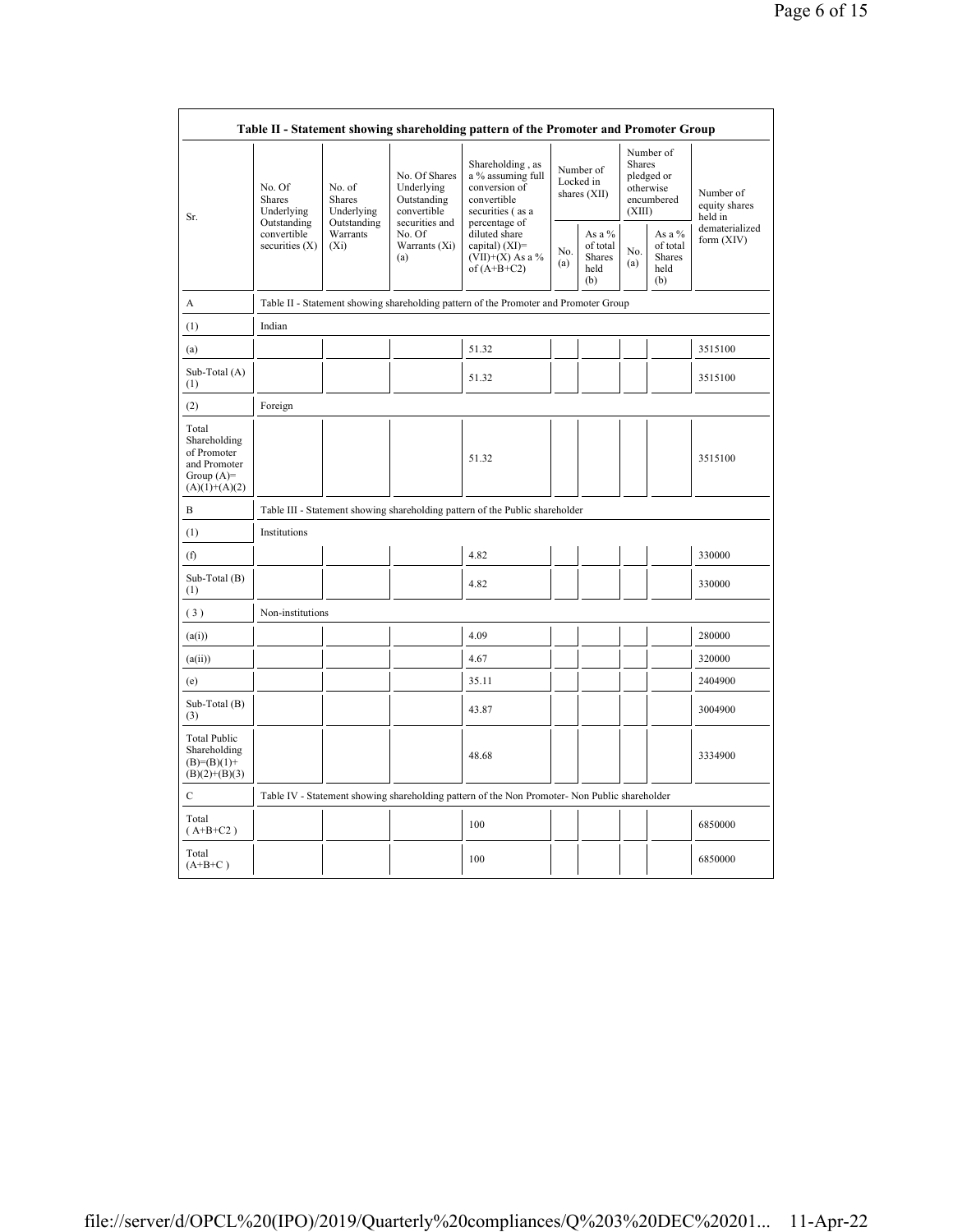|                                                                                         | Table II - Statement showing shareholding pattern of the Promoter and Promoter Group    |                                       |                                                                             |                                                                                               |                                        |                                             |                                                                        |                                                    |                                       |
|-----------------------------------------------------------------------------------------|-----------------------------------------------------------------------------------------|---------------------------------------|-----------------------------------------------------------------------------|-----------------------------------------------------------------------------------------------|----------------------------------------|---------------------------------------------|------------------------------------------------------------------------|----------------------------------------------------|---------------------------------------|
| Sr.                                                                                     | No. Of<br><b>Shares</b><br>Underlying<br>Outstanding<br>convertible<br>securities $(X)$ | No. of<br><b>Shares</b><br>Underlying | No. Of Shares<br>Underlying<br>Outstanding<br>convertible<br>securities and | Shareholding, as<br>a % assuming full<br>conversion of<br>convertible<br>securities (as a     | Number of<br>Locked in<br>shares (XII) |                                             | Number of<br>Shares<br>pledged or<br>otherwise<br>encumbered<br>(XIII) |                                                    | Number of<br>equity shares<br>held in |
|                                                                                         |                                                                                         | Outstanding<br>Warrants<br>$(X_i)$    | No. Of<br>Warrants (Xi)<br>(a)                                              | percentage of<br>diluted share<br>capital) $(XI)$ =<br>$(VII)+(X)$ As a %<br>of $(A+B+C2)$    | No.<br>(a)                             | As a %<br>of total<br>Shares<br>held<br>(b) | No.<br>(a)                                                             | As a %<br>of total<br><b>Shares</b><br>held<br>(b) | dematerialized<br>form (XIV)          |
| A                                                                                       |                                                                                         |                                       |                                                                             | Table II - Statement showing shareholding pattern of the Promoter and Promoter Group          |                                        |                                             |                                                                        |                                                    |                                       |
| (1)                                                                                     | Indian                                                                                  |                                       |                                                                             |                                                                                               |                                        |                                             |                                                                        |                                                    |                                       |
| (a)                                                                                     |                                                                                         |                                       |                                                                             | 51.32                                                                                         |                                        |                                             |                                                                        |                                                    | 3515100                               |
| Sub-Total (A)<br>(1)                                                                    |                                                                                         |                                       |                                                                             | 51.32                                                                                         |                                        |                                             |                                                                        |                                                    | 3515100                               |
| (2)                                                                                     | Foreign                                                                                 |                                       |                                                                             |                                                                                               |                                        |                                             |                                                                        |                                                    |                                       |
| Total<br>Shareholding<br>of Promoter<br>and Promoter<br>Group $(A)=$<br>$(A)(1)+(A)(2)$ |                                                                                         |                                       |                                                                             | 51.32                                                                                         |                                        |                                             |                                                                        |                                                    | 3515100                               |
| B                                                                                       |                                                                                         |                                       |                                                                             | Table III - Statement showing shareholding pattern of the Public shareholder                  |                                        |                                             |                                                                        |                                                    |                                       |
| (1)                                                                                     | Institutions                                                                            |                                       |                                                                             |                                                                                               |                                        |                                             |                                                                        |                                                    |                                       |
| (f)                                                                                     |                                                                                         |                                       |                                                                             | 4.82                                                                                          |                                        |                                             |                                                                        |                                                    | 330000                                |
| Sub-Total (B)<br>(1)                                                                    |                                                                                         |                                       |                                                                             | 4.82                                                                                          |                                        |                                             |                                                                        |                                                    | 330000                                |
| (3)                                                                                     | Non-institutions                                                                        |                                       |                                                                             |                                                                                               |                                        |                                             |                                                                        |                                                    |                                       |
| (a(i))                                                                                  |                                                                                         |                                       |                                                                             | 4.09                                                                                          |                                        |                                             |                                                                        |                                                    | 280000                                |
| (a(ii))                                                                                 |                                                                                         |                                       |                                                                             | 4.67                                                                                          |                                        |                                             |                                                                        |                                                    | 320000                                |
| (e)                                                                                     |                                                                                         |                                       |                                                                             | 35.11                                                                                         |                                        |                                             |                                                                        |                                                    | 2404900                               |
| Sub-Total (B)<br>(3)                                                                    |                                                                                         |                                       |                                                                             | 43.87                                                                                         |                                        |                                             |                                                                        |                                                    | 3004900                               |
| <b>Total Public</b><br>Shareholding<br>$(B)=(B)(1)+$<br>$(B)(2)+(B)(3)$                 |                                                                                         |                                       |                                                                             | 48.68                                                                                         |                                        |                                             |                                                                        |                                                    | 3334900                               |
| C                                                                                       |                                                                                         |                                       |                                                                             | Table IV - Statement showing shareholding pattern of the Non Promoter- Non Public shareholder |                                        |                                             |                                                                        |                                                    |                                       |
| Total<br>$(A+B+C2)$                                                                     |                                                                                         |                                       |                                                                             | 100                                                                                           |                                        |                                             |                                                                        |                                                    | 6850000                               |
| Total<br>$(A+B+C)$                                                                      |                                                                                         |                                       |                                                                             | 100                                                                                           |                                        |                                             |                                                                        |                                                    | 6850000                               |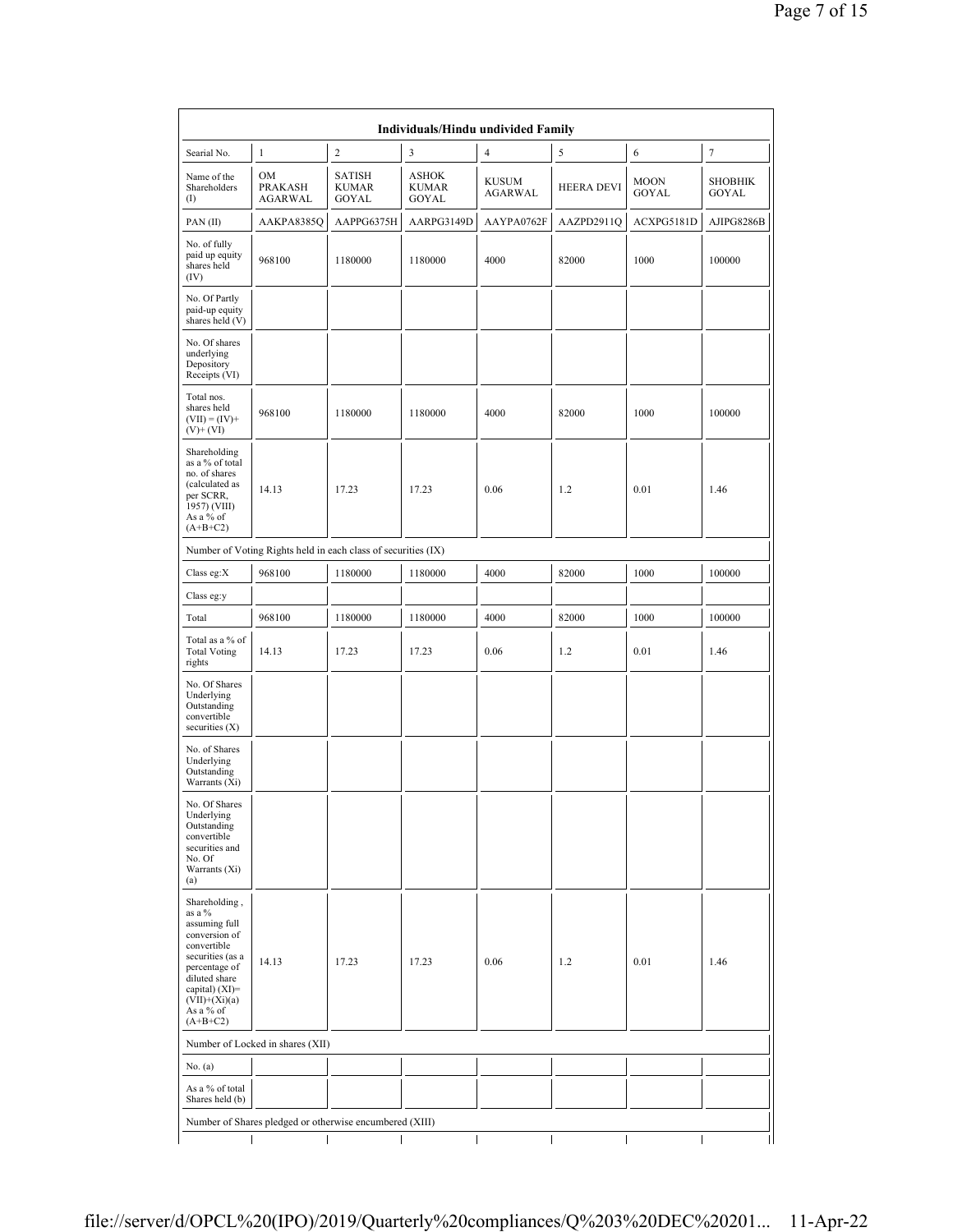|                                                                                                                                                                                                | Individuals/Hindu undivided Family                            |                                               |                                       |                         |                   |                      |                                |  |  |
|------------------------------------------------------------------------------------------------------------------------------------------------------------------------------------------------|---------------------------------------------------------------|-----------------------------------------------|---------------------------------------|-------------------------|-------------------|----------------------|--------------------------------|--|--|
| Searial No.                                                                                                                                                                                    | $\mathbf{1}$                                                  | $\overline{c}$                                | 3                                     | 4                       | 5                 | 6                    | $\tau$                         |  |  |
| Name of the<br>Shareholders<br>$($ I                                                                                                                                                           | OM<br><b>PRAKASH</b><br>AGARWAL                               | <b>SATISH</b><br><b>KUMAR</b><br><b>GOYAL</b> | <b>ASHOK</b><br><b>KUMAR</b><br>GOYAL | <b>KUSUM</b><br>AGARWAL | <b>HEERA DEVI</b> | <b>MOON</b><br>GOYAL | <b>SHOBHIK</b><br><b>GOYAL</b> |  |  |
| PAN(II)                                                                                                                                                                                        | AAKPA8385Q                                                    | AAPPG6375H                                    | AARPG3149D                            | AAYPA0762F              | AAZPD2911Q        | ACXPG5181D           | AJIPG8286B                     |  |  |
| No. of fully<br>paid up equity<br>shares held<br>(IV)                                                                                                                                          | 968100                                                        | 1180000                                       | 1180000                               | 4000                    | 82000             | 1000                 | 100000                         |  |  |
| No. Of Partly<br>paid-up equity<br>shares held (V)                                                                                                                                             |                                                               |                                               |                                       |                         |                   |                      |                                |  |  |
| No. Of shares<br>underlying<br>Depository<br>Receipts (VI)                                                                                                                                     |                                                               |                                               |                                       |                         |                   |                      |                                |  |  |
| Total nos.<br>shares held<br>$(VII) = (IV) +$<br>$(V)+(VI)$                                                                                                                                    | 968100                                                        | 1180000                                       | 1180000                               | 4000                    | 82000             | 1000                 | 100000                         |  |  |
| Shareholding<br>as a % of total<br>no. of shares<br>(calculated as<br>per SCRR,<br>1957) (VIII)<br>As a % of<br>$(A+B+C2)$                                                                     | 14.13                                                         | 17.23                                         | 17.23                                 | 0.06                    | 1.2               | 0.01                 | 1.46                           |  |  |
|                                                                                                                                                                                                | Number of Voting Rights held in each class of securities (IX) |                                               |                                       |                         |                   |                      |                                |  |  |
| Class eg: $X$                                                                                                                                                                                  | 968100                                                        | 1180000                                       | 1180000                               | 4000                    | 82000             | 1000                 | 100000                         |  |  |
| Class eg:y                                                                                                                                                                                     |                                                               |                                               |                                       |                         |                   |                      |                                |  |  |
| Total                                                                                                                                                                                          | 968100                                                        | 1180000                                       | 1180000                               | 4000                    | 82000             | 1000                 | 100000                         |  |  |
| Total as a % of<br><b>Total Voting</b><br>rights                                                                                                                                               | 14.13                                                         | 17.23                                         | 17.23                                 | 0.06                    | 1.2               | 0.01                 | 1.46                           |  |  |
| No. Of Shares<br>Underlying<br>Outstanding<br>convertible<br>securities $(X)$                                                                                                                  |                                                               |                                               |                                       |                         |                   |                      |                                |  |  |
| No. of Shares<br>Underlying<br>Outstanding<br>Warrants (Xi)                                                                                                                                    |                                                               |                                               |                                       |                         |                   |                      |                                |  |  |
| No. Of Shares<br>Underlying<br>Outstanding<br>convertible<br>securities and<br>No. Of<br>Warrants (Xi)<br>(a)                                                                                  |                                                               |                                               |                                       |                         |                   |                      |                                |  |  |
| Shareholding,<br>as a %<br>assuming full<br>conversion of<br>convertible<br>securities (as a<br>percentage of<br>diluted share<br>capital) (XI)=<br>$(VII)+(Xi)(a)$<br>As a % of<br>$(A+B+C2)$ | 14.13                                                         | 17.23                                         | 17.23                                 | 0.06                    | 1.2               | 0.01                 | 1.46                           |  |  |
|                                                                                                                                                                                                | Number of Locked in shares (XII)                              |                                               |                                       |                         |                   |                      |                                |  |  |
| No. (a)                                                                                                                                                                                        |                                                               |                                               |                                       |                         |                   |                      |                                |  |  |
| As a % of total<br>Shares held (b)                                                                                                                                                             |                                                               |                                               |                                       |                         |                   |                      |                                |  |  |
|                                                                                                                                                                                                | Number of Shares pledged or otherwise encumbered (XIII)       |                                               |                                       |                         |                   |                      |                                |  |  |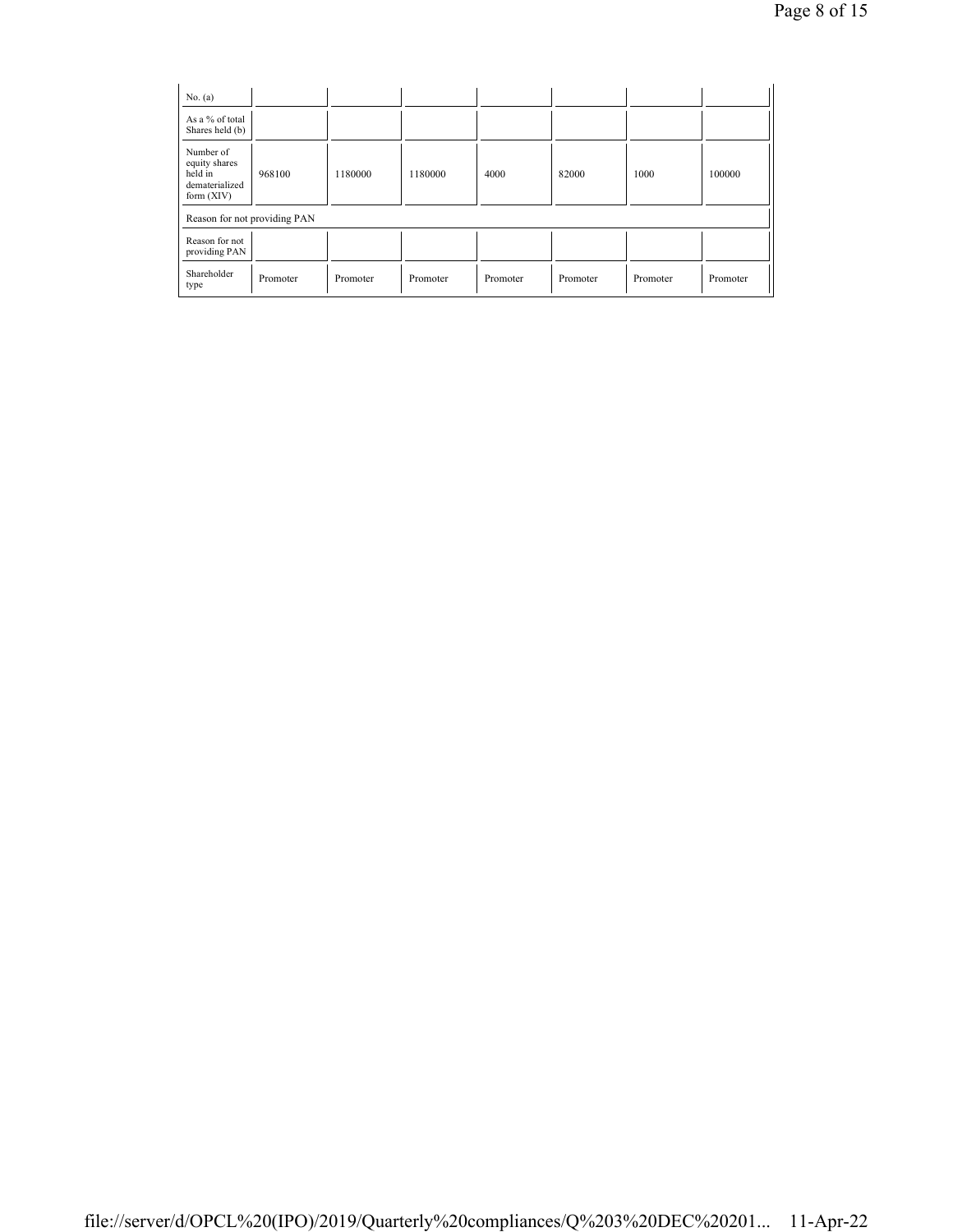| No. $(a)$                                                               |          |          |          |          |          |          |          |
|-------------------------------------------------------------------------|----------|----------|----------|----------|----------|----------|----------|
| As a % of total<br>Shares held (b)                                      |          |          |          |          |          |          |          |
| Number of<br>equity shares<br>held in<br>dematerialized<br>form $(XIV)$ | 968100   | 1180000  | 1180000  | 4000     | 82000    | 1000     | 100000   |
| Reason for not providing PAN                                            |          |          |          |          |          |          |          |
| Reason for not<br>providing PAN                                         |          |          |          |          |          |          |          |
| Shareholder<br>type                                                     | Promoter | Promoter | Promoter | Promoter | Promoter | Promoter | Promoter |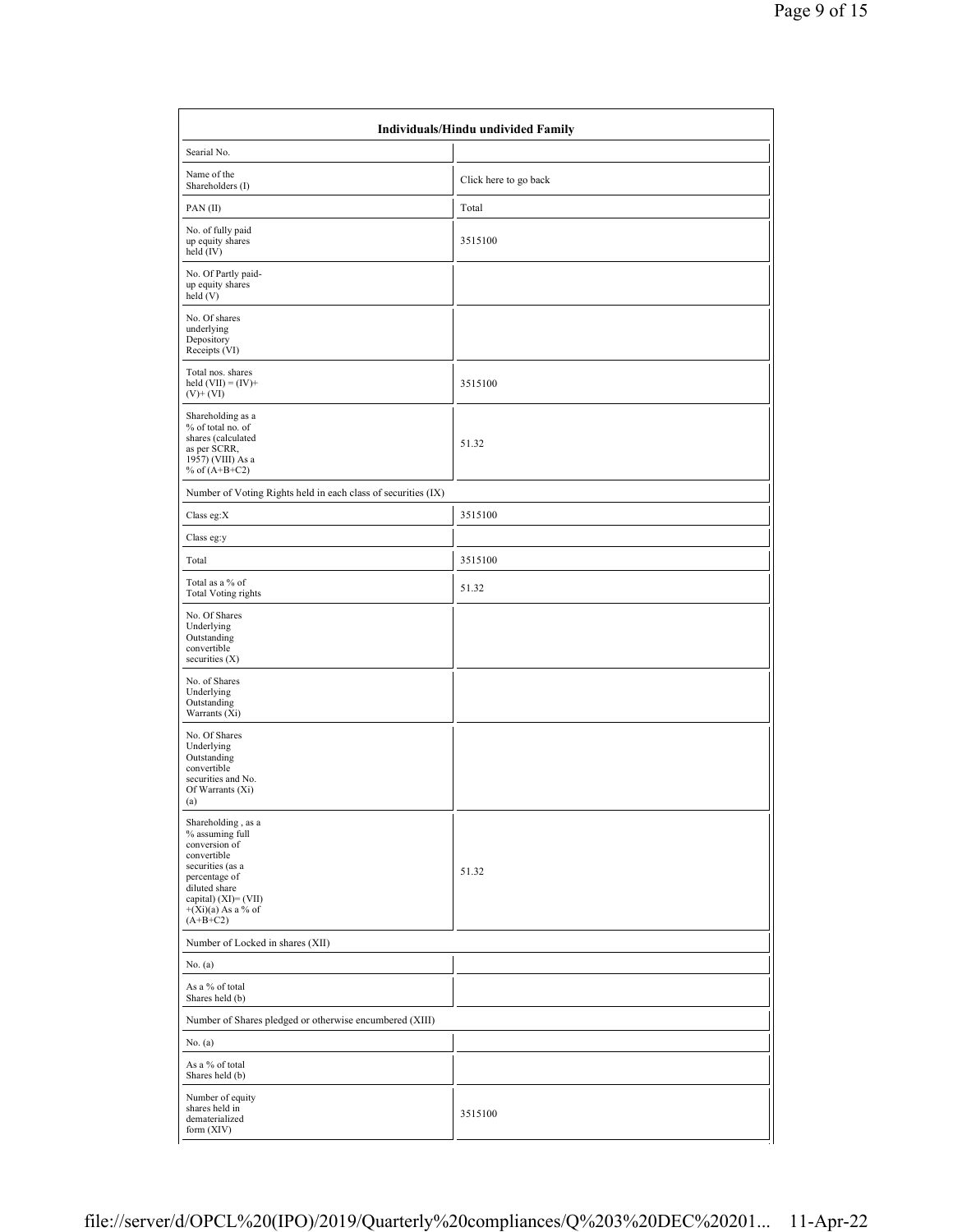| Individuals/Hindu undivided Family                                                                                                                                                               |                       |  |  |  |  |
|--------------------------------------------------------------------------------------------------------------------------------------------------------------------------------------------------|-----------------------|--|--|--|--|
| Searial No.                                                                                                                                                                                      |                       |  |  |  |  |
| Name of the<br>Shareholders (I)                                                                                                                                                                  | Click here to go back |  |  |  |  |
| PAN(II)                                                                                                                                                                                          | Total                 |  |  |  |  |
| No. of fully paid<br>up equity shares<br>held (IV)                                                                                                                                               | 3515100               |  |  |  |  |
| No. Of Partly paid-<br>up equity shares<br>held(V)                                                                                                                                               |                       |  |  |  |  |
| No. Of shares<br>underlying<br>Depository<br>Receipts (VI)                                                                                                                                       |                       |  |  |  |  |
| Total nos. shares<br>held $(VII) = (IV) +$<br>$(V)+(VI)$                                                                                                                                         | 3515100               |  |  |  |  |
| Shareholding as a<br>% of total no. of<br>shares (calculated<br>as per SCRR,<br>1957) (VIII) As a<br>% of $(A+B+C2)$                                                                             | 51.32                 |  |  |  |  |
| Number of Voting Rights held in each class of securities (IX)                                                                                                                                    |                       |  |  |  |  |
| Class eg:X                                                                                                                                                                                       | 3515100               |  |  |  |  |
| Class eg:y                                                                                                                                                                                       |                       |  |  |  |  |
| Total                                                                                                                                                                                            | 3515100               |  |  |  |  |
| Total as a % of<br><b>Total Voting rights</b>                                                                                                                                                    | 51.32                 |  |  |  |  |
| No. Of Shares<br>Underlying<br>Outstanding<br>convertible<br>securities $(X)$                                                                                                                    |                       |  |  |  |  |
| No. of Shares<br>Underlying<br>Outstanding<br>Warrants (Xi)                                                                                                                                      |                       |  |  |  |  |
| No. Of Shares<br>Underlying<br>Outstanding<br>convertible<br>securities and No.<br>Of Warrants (Xi)<br>(a)                                                                                       |                       |  |  |  |  |
| Shareholding, as a<br>% assuming full<br>conversion of<br>convertible<br>securities (as a<br>percentage of<br>diluted share<br>capital) (XI)= (VII)<br>$+(\lambda i)(a)$ As a % of<br>$(A+B+C2)$ | 51.32                 |  |  |  |  |
| Number of Locked in shares (XII)                                                                                                                                                                 |                       |  |  |  |  |
| No. (a)                                                                                                                                                                                          |                       |  |  |  |  |
| As a % of total<br>Shares held (b)                                                                                                                                                               |                       |  |  |  |  |
| Number of Shares pledged or otherwise encumbered (XIII)                                                                                                                                          |                       |  |  |  |  |
| No. (a)                                                                                                                                                                                          |                       |  |  |  |  |
| As a % of total<br>Shares held (b)                                                                                                                                                               |                       |  |  |  |  |
| Number of equity<br>shares held in<br>dematerialized<br>form (XIV)                                                                                                                               | 3515100               |  |  |  |  |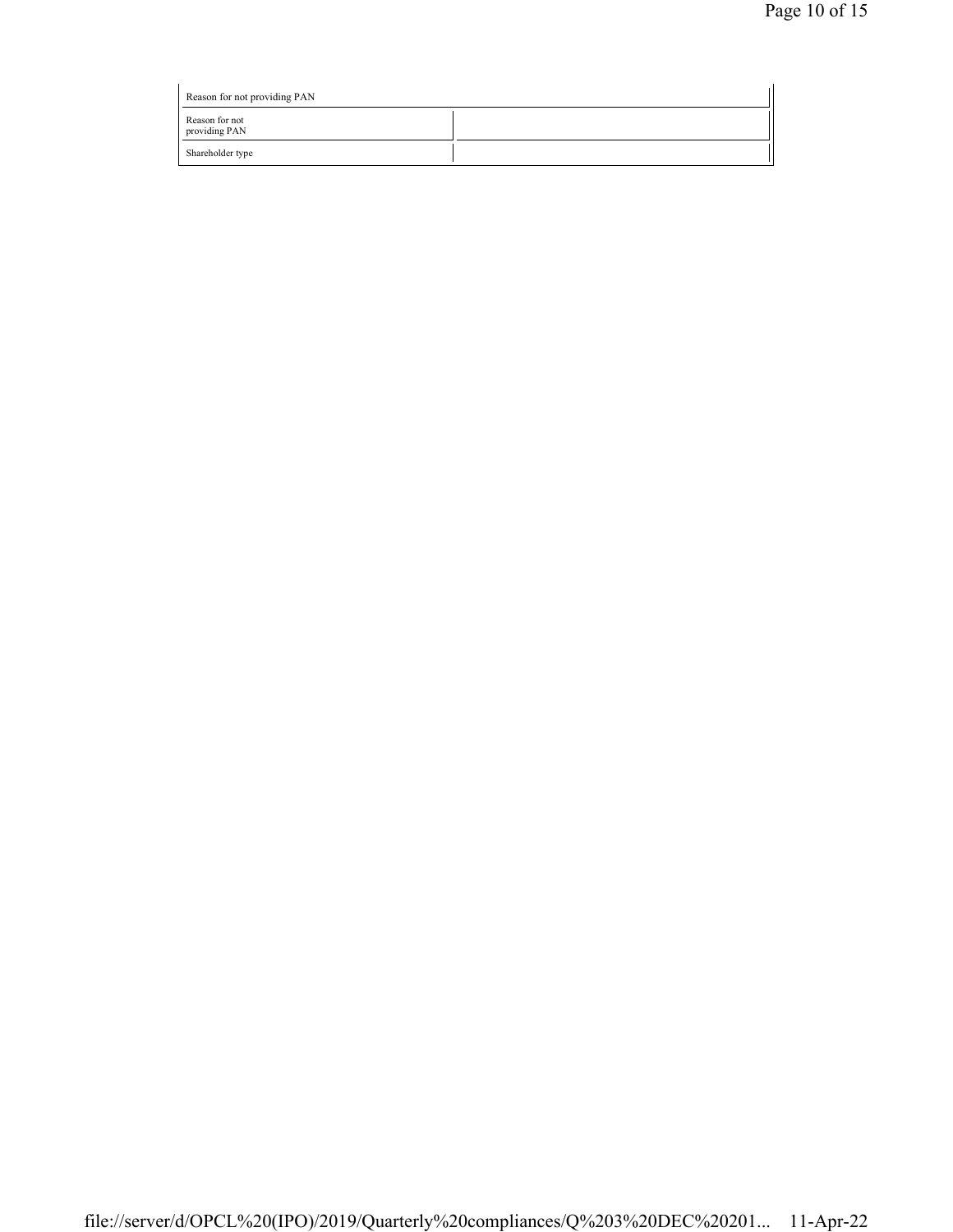| Reason for not providing PAN    |  |
|---------------------------------|--|
| Reason for not<br>providing PAN |  |
| Shareholder type                |  |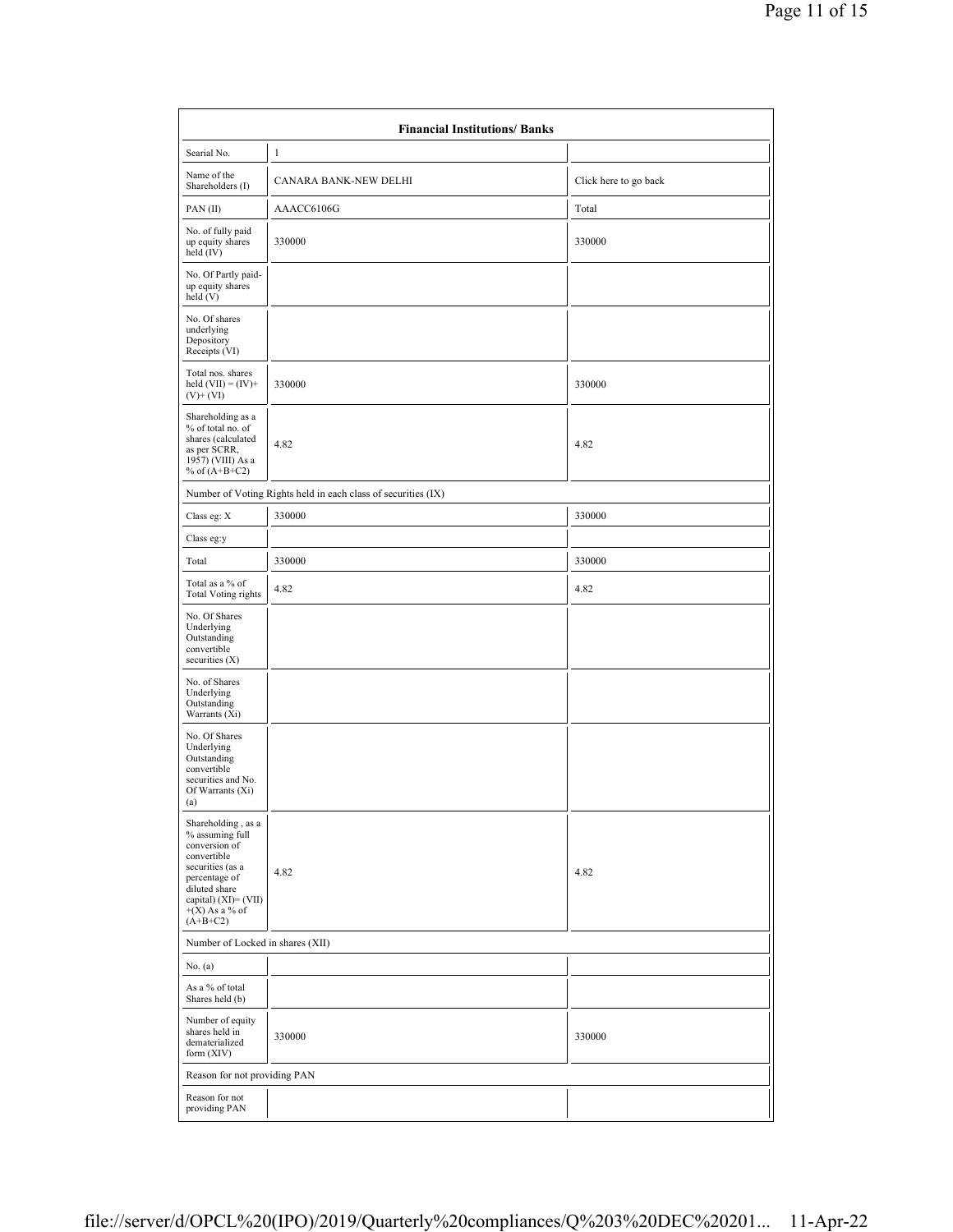|                                                                                                                                                                                          | <b>Financial Institutions/ Banks</b>                          |                       |
|------------------------------------------------------------------------------------------------------------------------------------------------------------------------------------------|---------------------------------------------------------------|-----------------------|
| Searial No.                                                                                                                                                                              | $\mathbf{1}$                                                  |                       |
| Name of the<br>Shareholders (I)                                                                                                                                                          | CANARA BANK-NEW DELHI                                         | Click here to go back |
| PAN(II)                                                                                                                                                                                  | AAACC6106G                                                    | Total                 |
| No. of fully paid<br>up equity shares<br>held (IV)                                                                                                                                       | 330000                                                        | 330000                |
| No. Of Partly paid-<br>up equity shares<br>held $(V)$                                                                                                                                    |                                                               |                       |
| No. Of shares<br>underlying<br>Depository<br>Receipts (VI)                                                                                                                               |                                                               |                       |
| Total nos. shares<br>held $(VII) = (IV) +$<br>$(V)+(VI)$                                                                                                                                 | 330000                                                        | 330000                |
| Shareholding as a<br>% of total no. of<br>shares (calculated<br>as per SCRR,<br>1957) (VIII) As a<br>% of $(A+B+C2)$                                                                     | 4.82                                                          | 4.82                  |
|                                                                                                                                                                                          | Number of Voting Rights held in each class of securities (IX) |                       |
| Class eg: X                                                                                                                                                                              | 330000                                                        | 330000                |
| Class eg:y                                                                                                                                                                               |                                                               |                       |
| Total                                                                                                                                                                                    | 330000                                                        | 330000                |
| Total as a % of<br><b>Total Voting rights</b>                                                                                                                                            | 4.82                                                          | 4.82                  |
| No. Of Shares<br>Underlying<br>Outstanding<br>convertible<br>securities $(X)$                                                                                                            |                                                               |                       |
| No. of Shares<br>Underlying<br>Outstanding<br>Warrants (Xi)                                                                                                                              |                                                               |                       |
| No. Of Shares<br>Underlying<br>Outstanding<br>convertible<br>securities and No.<br>Of Warrants (Xi)<br>(a)                                                                               |                                                               |                       |
| Shareholding, as a<br>% assuming full<br>conversion of<br>convertible<br>securities (as a<br>percentage of<br>diluted share<br>capital) $(XI) = (VII)$<br>$+(X)$ As a % of<br>$(A+B+C2)$ | 4.82                                                          | 4.82                  |
| Number of Locked in shares (XII)                                                                                                                                                         |                                                               |                       |
| No. (a)                                                                                                                                                                                  |                                                               |                       |
| As a % of total<br>Shares held (b)                                                                                                                                                       |                                                               |                       |
| Number of equity<br>shares held in<br>dematerialized<br>form $(XIV)$                                                                                                                     | 330000                                                        | 330000                |
| Reason for not providing PAN                                                                                                                                                             |                                                               |                       |
| Reason for not<br>providing PAN                                                                                                                                                          |                                                               |                       |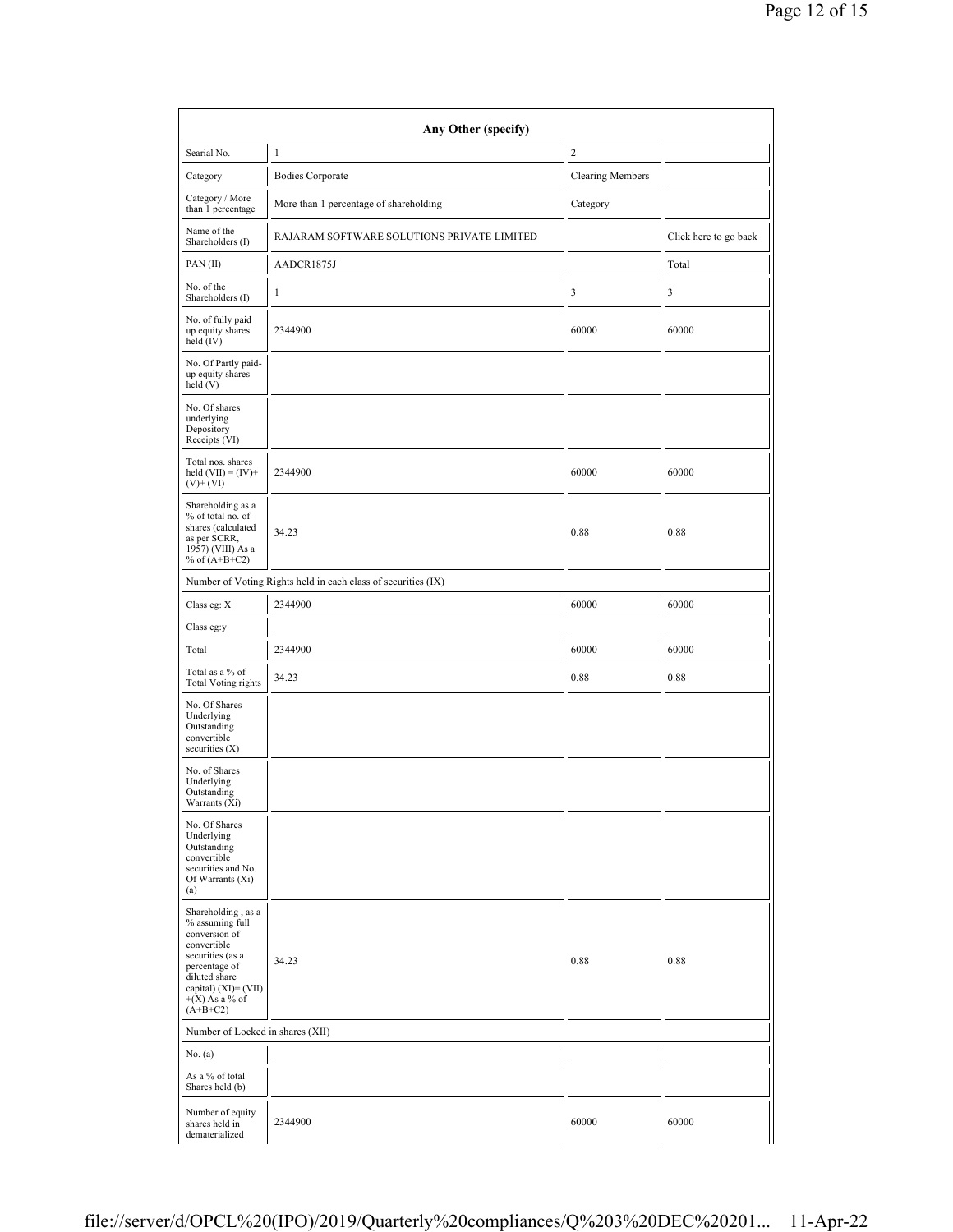|                                                                                                                                                                                          | Any Other (specify)                                           |                         |                       |  |  |  |  |  |  |
|------------------------------------------------------------------------------------------------------------------------------------------------------------------------------------------|---------------------------------------------------------------|-------------------------|-----------------------|--|--|--|--|--|--|
| Searial No.                                                                                                                                                                              | $\mathbf{1}$                                                  | $\overline{c}$          |                       |  |  |  |  |  |  |
| Category                                                                                                                                                                                 | <b>Bodies Corporate</b>                                       | <b>Clearing Members</b> |                       |  |  |  |  |  |  |
| Category / More<br>than 1 percentage                                                                                                                                                     | More than 1 percentage of shareholding                        | Category                |                       |  |  |  |  |  |  |
| Name of the<br>Shareholders (I)                                                                                                                                                          | RAJARAM SOFTWARE SOLUTIONS PRIVATE LIMITED                    |                         | Click here to go back |  |  |  |  |  |  |
| PAN(II)                                                                                                                                                                                  | AADCR1875J                                                    |                         | Total                 |  |  |  |  |  |  |
| No. of the<br>Shareholders (I)                                                                                                                                                           | 1                                                             | 3                       | 3                     |  |  |  |  |  |  |
| No. of fully paid<br>up equity shares<br>held (IV)                                                                                                                                       | 2344900                                                       | 60000                   | 60000                 |  |  |  |  |  |  |
| No. Of Partly paid-<br>up equity shares<br>held (V)                                                                                                                                      |                                                               |                         |                       |  |  |  |  |  |  |
| No. Of shares<br>underlying<br>Depository<br>Receipts (VI)                                                                                                                               |                                                               |                         |                       |  |  |  |  |  |  |
| Total nos. shares<br>held $(VII) = (IV) +$<br>$(V)+(VI)$                                                                                                                                 | 2344900                                                       | 60000                   | 60000                 |  |  |  |  |  |  |
| Shareholding as a<br>% of total no. of<br>shares (calculated<br>as per SCRR,<br>1957) (VIII) As a<br>% of $(A+B+C2)$                                                                     | 34.23                                                         | 0.88                    | 0.88                  |  |  |  |  |  |  |
|                                                                                                                                                                                          | Number of Voting Rights held in each class of securities (IX) |                         |                       |  |  |  |  |  |  |
| Class eg: X                                                                                                                                                                              | 2344900                                                       | 60000                   | 60000                 |  |  |  |  |  |  |
| Class eg:y                                                                                                                                                                               |                                                               |                         |                       |  |  |  |  |  |  |
| Total                                                                                                                                                                                    | 2344900                                                       | 60000                   | 60000                 |  |  |  |  |  |  |
| Total as a % of<br><b>Total Voting rights</b>                                                                                                                                            | 34.23                                                         | 0.88                    | 0.88                  |  |  |  |  |  |  |
| No. Of Shares<br>Underlying<br>Outstanding<br>convertible<br>securities $(X)$                                                                                                            |                                                               |                         |                       |  |  |  |  |  |  |
| No. of Shares<br>Underlying<br>Outstanding<br>Warrants (Xi)                                                                                                                              |                                                               |                         |                       |  |  |  |  |  |  |
| No. Of Shares<br>Underlying<br>Outstanding<br>convertible<br>securities and No.<br>Of Warrants (Xi)<br>(a)                                                                               |                                                               |                         |                       |  |  |  |  |  |  |
| Shareholding, as a<br>% assuming full<br>conversion of<br>convertible<br>securities (as a<br>percentage of<br>diluted share<br>capital) $(XI) = (VII)$<br>$+(X)$ As a % of<br>$(A+B+C2)$ | 34.23                                                         | 0.88                    | 0.88                  |  |  |  |  |  |  |
| Number of Locked in shares (XII)                                                                                                                                                         |                                                               |                         |                       |  |  |  |  |  |  |
| No. $(a)$                                                                                                                                                                                |                                                               |                         |                       |  |  |  |  |  |  |
| As a % of total<br>Shares held (b)                                                                                                                                                       |                                                               |                         |                       |  |  |  |  |  |  |
| Number of equity<br>shares held in<br>dematerialized                                                                                                                                     | 2344900                                                       | 60000                   | 60000                 |  |  |  |  |  |  |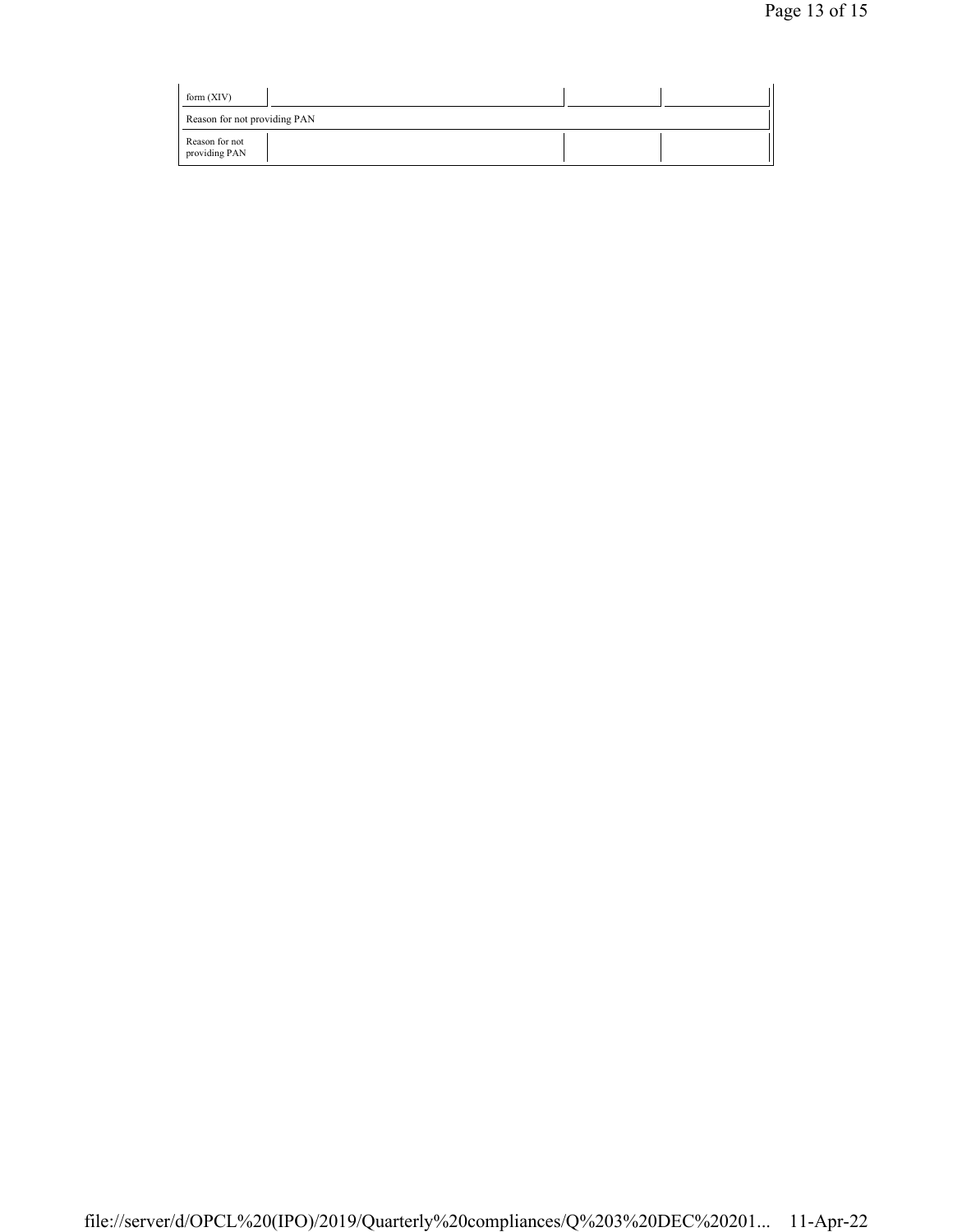| form $(XIV)$                    |  |  |
|---------------------------------|--|--|
| Reason for not providing PAN    |  |  |
| Reason for not<br>providing PAN |  |  |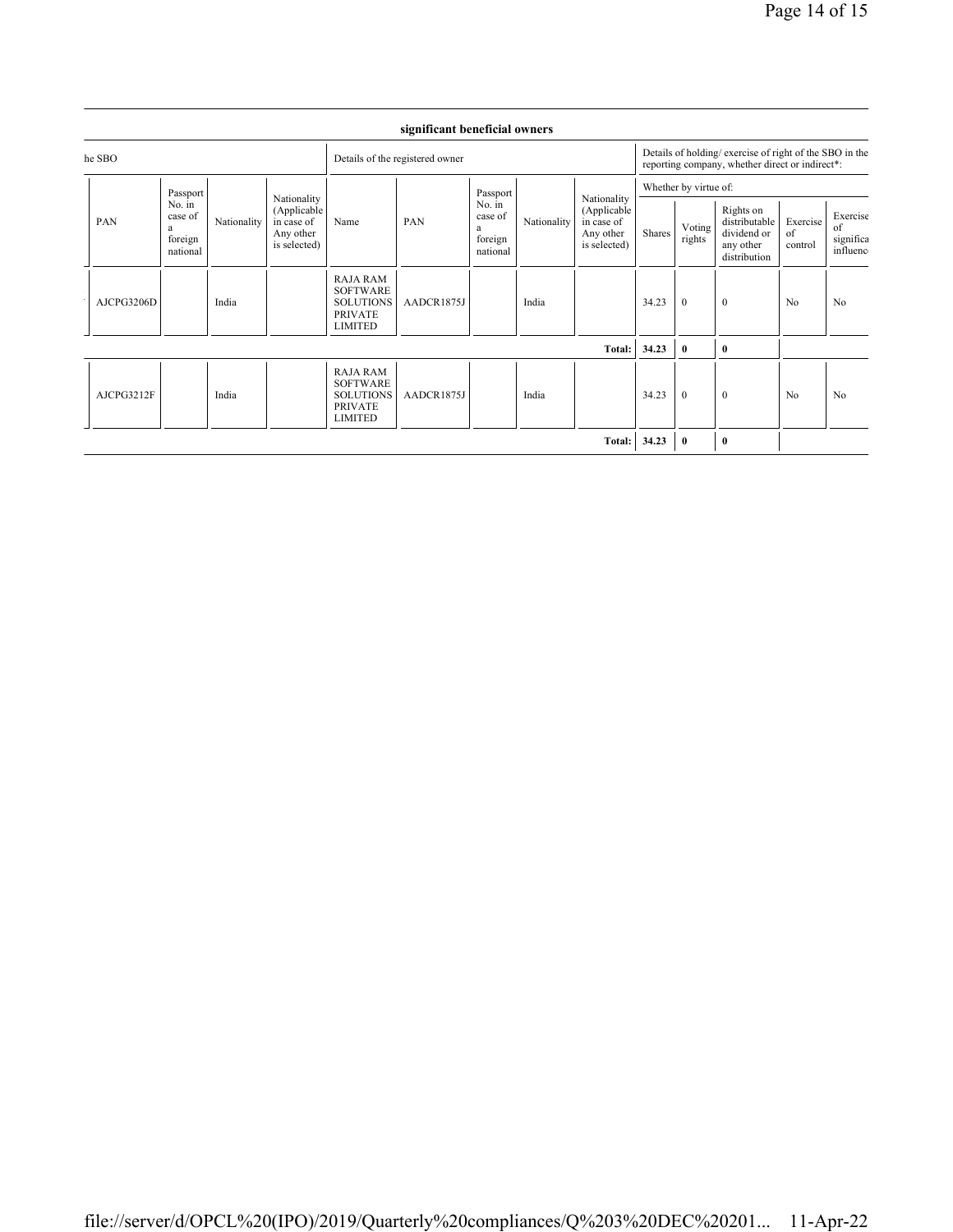| he SBO     |                                          |             | Details of the registered owner                                       |                                                                                            |            |                                                           | Details of holding/ exercise of right of the SBO in the<br>reporting company, whether direct or indirect*: |                                                                       |                       |                  |                                                                        |                           |                                         |
|------------|------------------------------------------|-------------|-----------------------------------------------------------------------|--------------------------------------------------------------------------------------------|------------|-----------------------------------------------------------|------------------------------------------------------------------------------------------------------------|-----------------------------------------------------------------------|-----------------------|------------------|------------------------------------------------------------------------|---------------------------|-----------------------------------------|
| PAN<br>a   | Passport                                 |             | Nationality<br>(Applicable<br>in case of<br>Any other<br>is selected) | PAN<br>Name                                                                                |            | Passport<br>No. in<br>case of<br>a<br>foreign<br>national |                                                                                                            | Nationality<br>(Applicable<br>in case of<br>Any other<br>is selected) | Whether by virtue of: |                  |                                                                        |                           |                                         |
|            | No. in<br>case of<br>foreign<br>national | Nationality |                                                                       |                                                                                            |            |                                                           | Nationality                                                                                                |                                                                       | Shares                | Voting<br>rights | Rights on<br>distributable<br>dividend or<br>any other<br>distribution | Exercise<br>of<br>control | Exercise<br>of<br>significa<br>influenc |
| AJCPG3206D |                                          | India       |                                                                       | <b>RAJA RAM</b><br><b>SOFTWARE</b><br><b>SOLUTIONS</b><br><b>PRIVATE</b><br><b>LIMITED</b> | AADCR1875J |                                                           | India                                                                                                      |                                                                       | 34.23                 | $\theta$         | $\mathbf{0}$                                                           | No                        | No                                      |
|            |                                          |             |                                                                       |                                                                                            |            |                                                           |                                                                                                            | Total:                                                                | 34.23                 | $\bf{0}$         | $\bf{0}$                                                               |                           |                                         |
| AJCPG3212F |                                          | India       |                                                                       | <b>RAJA RAM</b><br><b>SOFTWARE</b><br><b>SOLUTIONS</b><br><b>PRIVATE</b><br><b>LIMITED</b> | AADCR1875J |                                                           | India                                                                                                      |                                                                       | 34.23                 | $\theta$         | $\mathbf{0}$                                                           | No                        | No                                      |
|            |                                          |             |                                                                       |                                                                                            |            |                                                           |                                                                                                            | Total:                                                                | 34.23                 | $\bf{0}$         | $\bf{0}$                                                               |                           |                                         |